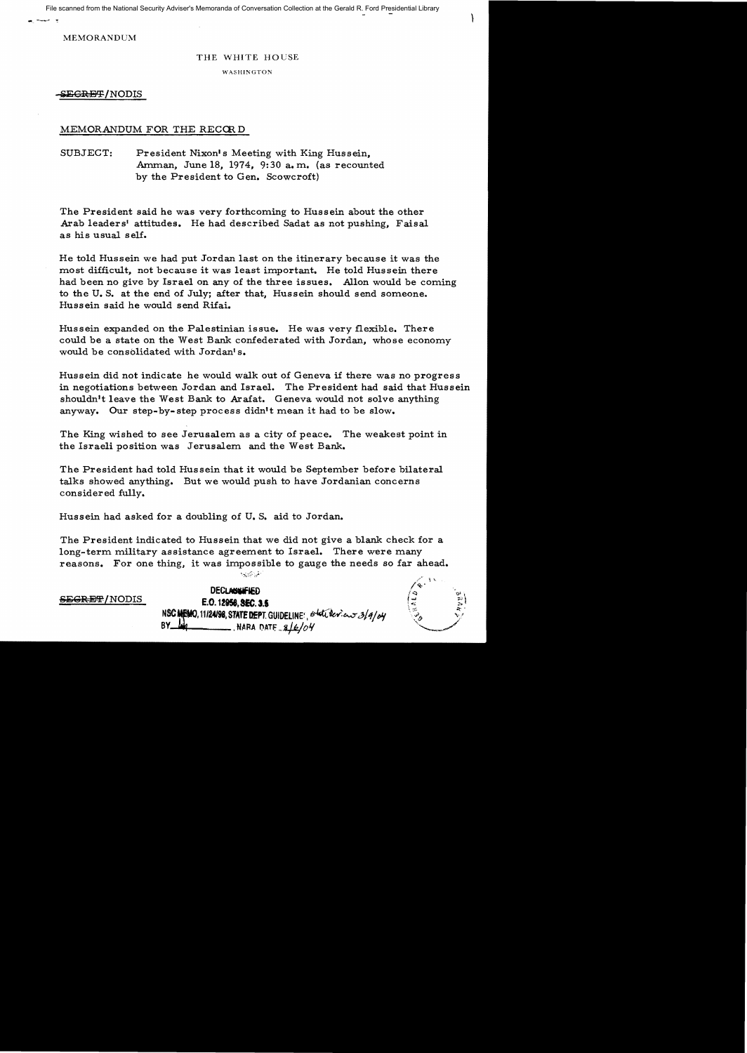File scanned from the National Security Adviser's Memoranda of Conversation Collection at the Gerald R. Ford Presidential Library

-- ---,..

MEMORANDUM

## THE WHITE HOUSE

WASHINGTON

**&E<del>GRET</del>/NODIS** 

## MEMORANDUM FOR THE RECORD

SUBJECT: President Nixon's Meeting with King Hussein, Amman, June 18, 1974, 9:30 a.m. (as recounted by the President to Gen. Scowcroft)

The President said he was very forthcoming to Hussein about the other Arab leaders' attitudes. He had described Sadat as not pushing, Faisal as his usual self.

He told Hussein we had put Jordan last on the itinerary because it was the most difficult, not because it was least important. He told Hussein there had been no give by Israel on any of the three issues. Allon would be coming to the U. S. at the end of July; after that. Hussein should send someone. Hussein said he would send Rifai.

Hussein expanded on the Palestinian issue. He was very flexible. There could be a state on the West Bank confederated with Jordan, whose economy would be consolidated with Jordan's.

Hussein did not indicate he would walk out of Geneva if there was no progress in negotiations between Jordan and Israel. The President had said that Hussein shouldn't leave the West Bank to Arafat. Geneva would not solve anything anyway. Our step-by-step process didn't mean it had to be slow.

The King wished to see Jerusalem as a city of peace. The weakest point in the Israeli position was Jerusalem and the West Bank.

The President had told Hussein that it would be September before bilateral talks showed anything. But we would push to have Jordanian concerns considered fully.

Hussein had asked for a doubling of U. S. aid to Jordan.

The President indicated to Hussein that we did not give a blank check for a long-term military assistance agreement to Israel. There were many reasons. For one thing. it was impossible to gauge the needs so far ahead. مقياتين يتوليها

 $\sum_{i=1}^{n}$ 

DECLASSIFIED SEGRET/NODIS E.O. 12956, SEC. 3.5 NSC **MEMO**, 11/24/98, STATE DEPT. GUIDELINE<sup>(4</sup> $\frac{6}{4}$ /c/exient<sub>2</sub>/*4/oy*<br>BY  $\frac{1}{100}$ , NARA DATE  $8/6/04$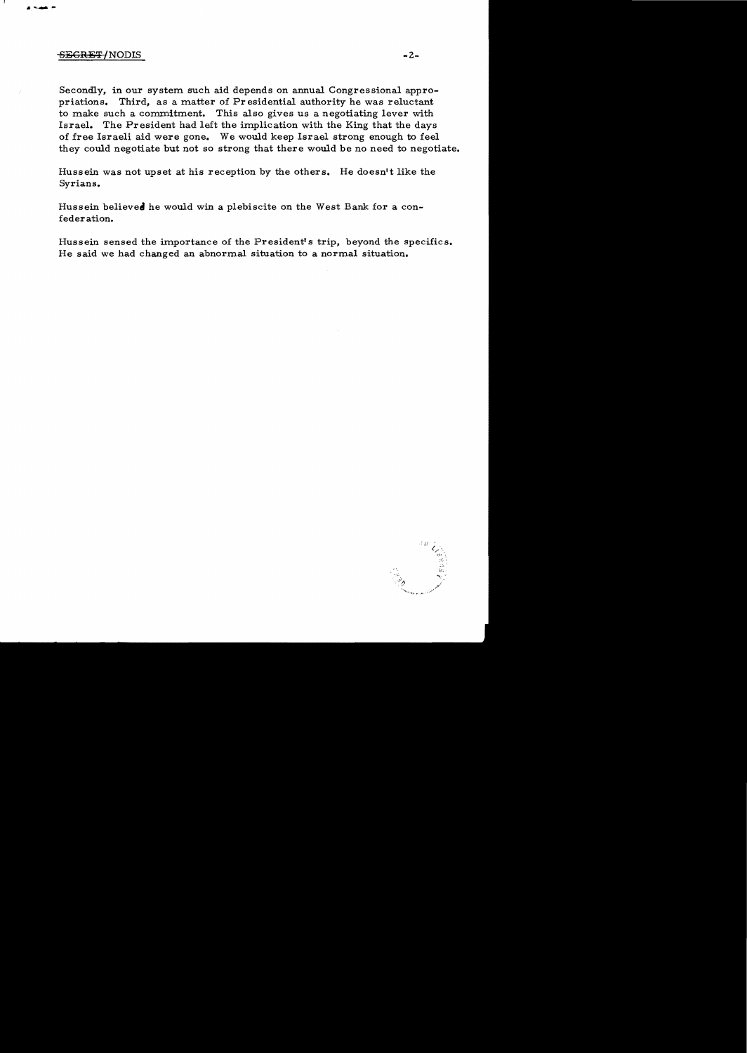## SEGRET/NODIS

Secondly, in our system such aid depends on annual Congressional appropriations. Third, as a matter of Pr esidential authority he was reluctant to make such a commitment. This also gives us a negotiating lever with Israel. The President had left the implication with the King that the days of free Israeli aid were gone. We would keep Israel strong enough to feel they could negotiate but not so strong that there would be no need to negotiate.

Hussein was not upset at his reception by the others. He doesn't like the Syrians.

Hussein believed he would win a plebiscite on the West Bank for a confeder ation.

Hussein sensed the importance of the President's trip, beyond the specifics. He said we had changed an abnormal situation to a normal situation.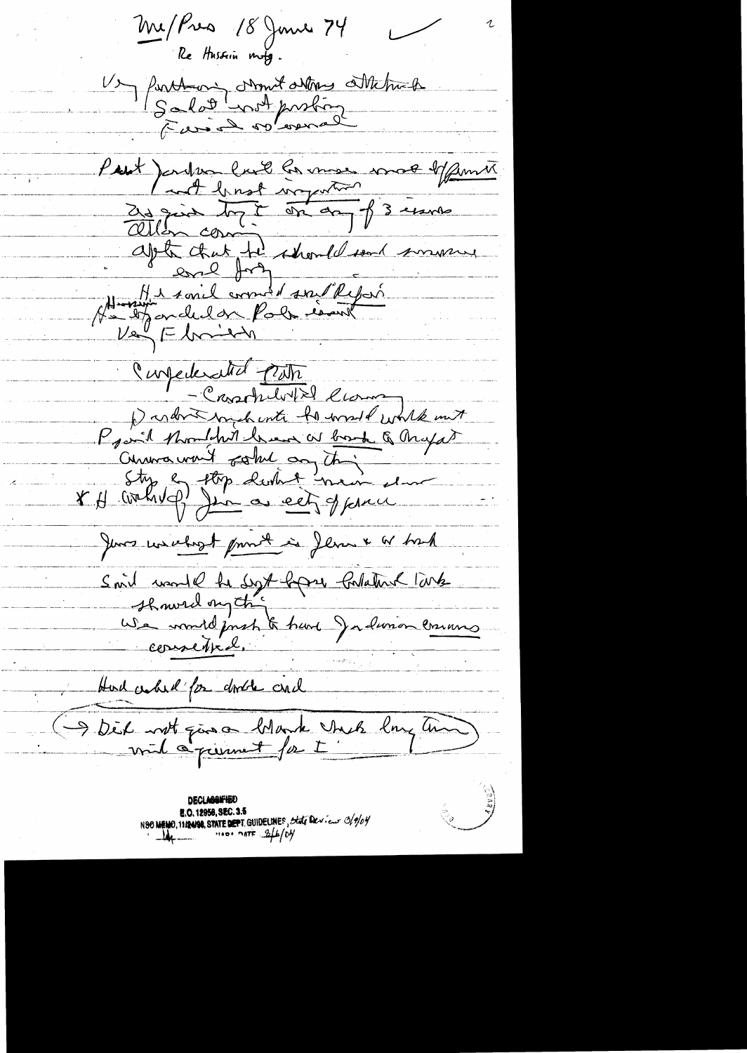Me / Pres 18 June 74 Re Hussin mote. 1) forthe contrat de profins Matrick Put ) onder land la mais mot Manner apte that the should send myselve Home sonil comment son Report  $\nu$ e ( Lomen Confederated puts - Cassoluto low partnershind to word work must Provid thought have as book & Myat Curios won't solve any thing Ity en top dutie men el June unichezt print in Jenne & Which Smit word le Syt born Colaton larte Hud cahil for dode and Dit not give Monte Unel emplant

**DECLASSIFIERD E.O. 12956, SEC. 3.5** NSO NEWO, 11124198, STATE DEPT. GUIDELINES, State Der. Europa Of 19/04